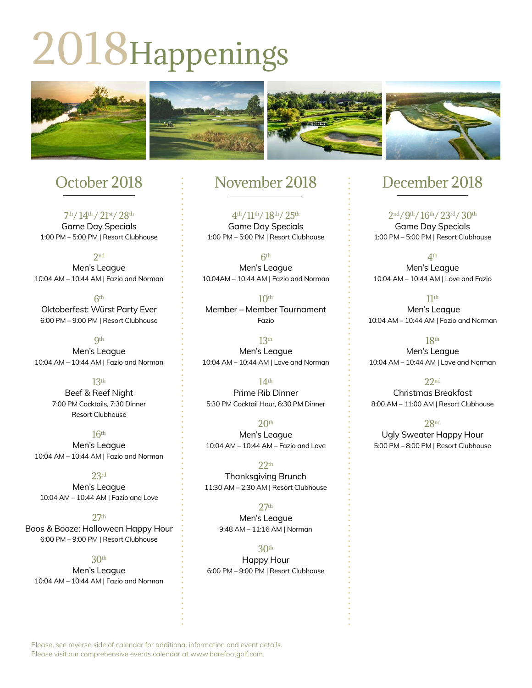# 2018Happenings



# October 2018

7<sup>th</sup>/14<sup>th</sup>/21<sup>st</sup>/28<sup>th</sup> Game Day Specials 1:00 PM – 5:00 PM | Resort Clubhouse

 $2nd$ Men's League 10:04 AM – 10:44 AM | Fazio and Norman

6th Oktoberfest: Würst Party Ever 6:00 PM – 9:00 PM | Resort Clubhouse

**Qth** Men's League 10:04 AM – 10:44 AM | Fazio and Norman

> 13th Beef & Reef Night 7:00 PM Cocktails, 7:30 Dinner Resort Clubhouse

16th Men's League 10:04 AM – 10:44 AM | Fazio and Norman

23rd Men's League 10:04 AM – 10:44 AM | Fazio and Love

27th Boos & Booze: Halloween Happy Hour 6:00 PM – 9:00 PM | Resort Clubhouse

30th Men's League 10:04 AM – 10:44 AM | Fazio and Norman

## November 2018

4th/11th/ 18th/ 25th Game Day Specials 1:00 PM – 5:00 PM | Resort Clubhouse

 $6<sup>th</sup>$ Men's League 10:04AM – 10:44 AM | Fazio and Norman

 $10<sup>th</sup>$ Member – Member Tournament Fazio

13th Men's League 10:04 AM – 10:44 AM | Love and Norman

14th Prime Rib Dinner 5:30 PM Cocktail Hour, 6:30 PM Dinner

 $20<sup>th</sup>$ Men's League 10:04 AM – 10:44 AM – Fazio and Love

 $22<sub>th</sub>$ Thanksgiving Brunch 11:30 AM – 2:30 AM | Resort Clubhouse

 $27<sup>th</sup>$ Men's League 9:48 AM – 11:16 AM | Norman

30th Happy Hour 6:00 PM – 9:00 PM | Resort Clubhouse

# December 2018

2nd/9th/ 16th/ 23rd/ 30th Game Day Specials 1:00 PM – 5:00 PM | Resort Clubhouse

4th Men's League 10:04 AM – 10:44 AM | Love and Fazio

11th Men's League 10:04 AM – 10:44 AM | Fazio and Norman

18th Men's League 10:04 AM – 10:44 AM | Love and Norman

 $22<sub>nd</sub>$ Christmas Breakfast 8:00 AM – 11:00 AM | Resort Clubhouse

28nd Ugly Sweater Happy Hour 5:00 PM – 8:00 PM | Resort Clubhouse

Please, see reverse side of calendar for additional information and event details. Please visit our comprehensive events calendar at www.barefootgolf.com